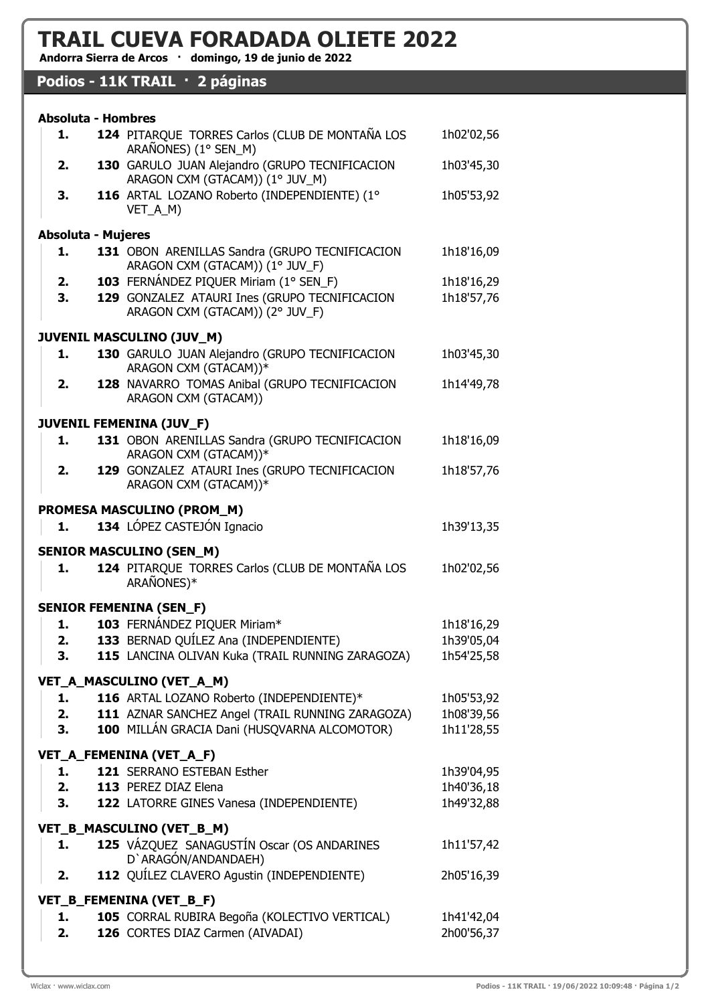## TRAIL CUEVA FORADADA OLIETE 2022

Andorra Sierra de Arcos · domingo, 19 de junio de 2022

## Podios - 11K TRAIL · 2 páginas

| <b>Absoluta - Hombres</b>      |  |                                                                                   |            |
|--------------------------------|--|-----------------------------------------------------------------------------------|------------|
| 1.                             |  | 124 PITARQUE TORRES Carlos (CLUB DE MONTAÑA LOS<br>ARAÑONES) (1° SEN_M)           | 1h02'02,56 |
| 2.                             |  | 130 GARULO JUAN Alejandro (GRUPO TECNIFICACION<br>ARAGON CXM (GTACAM)) (1° JUV_M) | 1h03'45,30 |
| 3.                             |  | 116 ARTAL LOZANO Roberto (INDEPENDIENTE) (1°<br>VET_A_M)                          | 1h05'53,92 |
| <b>Absoluta - Mujeres</b>      |  |                                                                                   |            |
| 1.                             |  | 131 OBON ARENILLAS Sandra (GRUPO TECNIFICACION                                    | 1h18'16,09 |
|                                |  | ARAGON CXM (GTACAM)) (1° JUV_F)                                                   |            |
| 2.                             |  | 103 FERNÁNDEZ PIQUER Miriam (1° SEN_F)                                            | 1h18'16,29 |
| 3.                             |  | 129 GONZALEZ ATAURI Ines (GRUPO TECNIFICACION<br>ARAGON CXM (GTACAM)) (2° JUV_F)  | 1h18'57,76 |
|                                |  | <b>JUVENIL MASCULINO (JUV_M)</b>                                                  |            |
| 1.                             |  | 130 GARULO JUAN Alejandro (GRUPO TECNIFICACION<br>ARAGON CXM (GTACAM))*           | 1h03'45,30 |
| 2.                             |  | 128 NAVARRO TOMAS Anibal (GRUPO TECNIFICACION                                     | 1h14'49,78 |
|                                |  | ARAGON CXM (GTACAM))                                                              |            |
| JUVENIL FEMENINA (JUV_F)       |  |                                                                                   |            |
| 1.                             |  | 131 OBON ARENILLAS Sandra (GRUPO TECNIFICACION<br>ARAGON CXM (GTACAM))*           | 1h18'16,09 |
| 2.                             |  | 129 GONZALEZ ATAURI Ines (GRUPO TECNIFICACION                                     | 1h18'57,76 |
|                                |  | ARAGON CXM (GTACAM))*                                                             |            |
| PROMESA MASCULINO (PROM_M)     |  |                                                                                   |            |
| 1.                             |  | 134 LÓPEZ CASTEJÓN Ignacio                                                        | 1h39'13,35 |
|                                |  |                                                                                   |            |
|                                |  | <b>SENIOR MASCULINO (SEN_M)</b>                                                   |            |
| 1.                             |  | 124 PITARQUE TORRES Carlos (CLUB DE MONTAÑA LOS<br>ARAÑONES)*                     | 1h02'02,56 |
| <b>SENIOR FEMENINA (SEN_F)</b> |  |                                                                                   |            |
| 1.                             |  | 103 FERNÁNDEZ PIQUER Miriam*                                                      | 1h18'16,29 |
| 2.                             |  | 133 BERNAD QUÍLEZ Ana (INDEPENDIENTE)                                             | 1h39'05,04 |
| 3.                             |  | 115 LANCINA OLIVAN Kuka (TRAIL RUNNING ZARAGOZA)                                  | 1h54'25,58 |
|                                |  |                                                                                   |            |
|                                |  | VET_A_MASCULINO (VET_A_M)                                                         |            |
| 1.                             |  | 116 ARTAL LOZANO Roberto (INDEPENDIENTE)*                                         | 1h05'53,92 |
| 2.                             |  | 111 AZNAR SANCHEZ Angel (TRAIL RUNNING ZARAGOZA)                                  | 1h08'39,56 |
| 3.                             |  | 100 MILLÁN GRACIA Dani (HUSQVARNA ALCOMOTOR)                                      | 1h11'28,55 |
|                                |  | VET_A_FEMENINA (VET_A_F)                                                          |            |
| 1.                             |  | 121 SERRANO ESTEBAN Esther                                                        | 1h39'04,95 |
|                                |  | 2. 113 PEREZ DIAZ Elena                                                           | 1h40'36,18 |
| 3.                             |  | 122 LATORRE GINES Vanesa (INDEPENDIENTE)                                          | 1h49'32,88 |
|                                |  |                                                                                   |            |
| VET_B_MASCULINO (VET_B_M)      |  |                                                                                   |            |
| 1.                             |  | 125 VÁZQUEZ SANAGUSTÍN Oscar (OS ANDARINES<br>D'ARAGÓN/ANDANDAEH)                 | 1h11'57,42 |
| 2.                             |  | 112 QUÍLEZ CLAVERO Agustin (INDEPENDIENTE)                                        | 2h05'16,39 |
| VET_B_FEMENINA (VET_B_F)       |  |                                                                                   |            |
| 1.                             |  | 105 CORRAL RUBIRA Begoña (KOLECTIVO VERTICAL)                                     | 1h41'42,04 |
| 2.                             |  | 126 CORTES DIAZ Carmen (AIVADAI)                                                  | 2h00'56,37 |